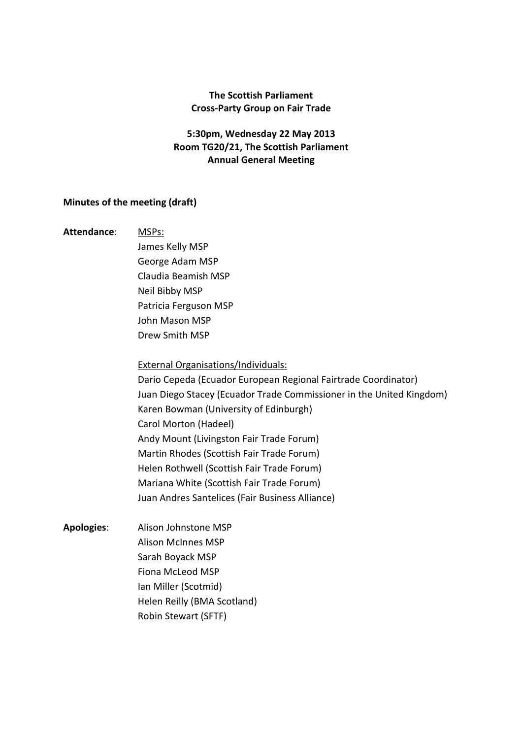## The Scottish Parliament Cross-Party Group on Fair Trade

# 5:30pm, Wednesday 22 May 2013 Room TG20/21, The Scottish Parliament Annual General Meeting

### Minutes of the meeting (draft)

#### Attendance: MSPs:

 James Kelly MSP George Adam MSP Claudia Beamish MSP Neil Bibby MSP Patricia Ferguson MSP John Mason MSP Drew Smith MSP

### External Organisations/Individuals:

 Dario Cepeda (Ecuador European Regional Fairtrade Coordinator) Juan Diego Stacey (Ecuador Trade Commissioner in the United Kingdom) Karen Bowman (University of Edinburgh) Carol Morton (Hadeel) Andy Mount (Livingston Fair Trade Forum) Martin Rhodes (Scottish Fair Trade Forum) Helen Rothwell (Scottish Fair Trade Forum) Mariana White (Scottish Fair Trade Forum) Juan Andres Santelices (Fair Business Alliance)

Apologies: Alison Johnstone MSP Alison McInnes MSP Sarah Boyack MSP Fiona McLeod MSP Ian Miller (Scotmid) Helen Reilly (BMA Scotland) Robin Stewart (SFTF)